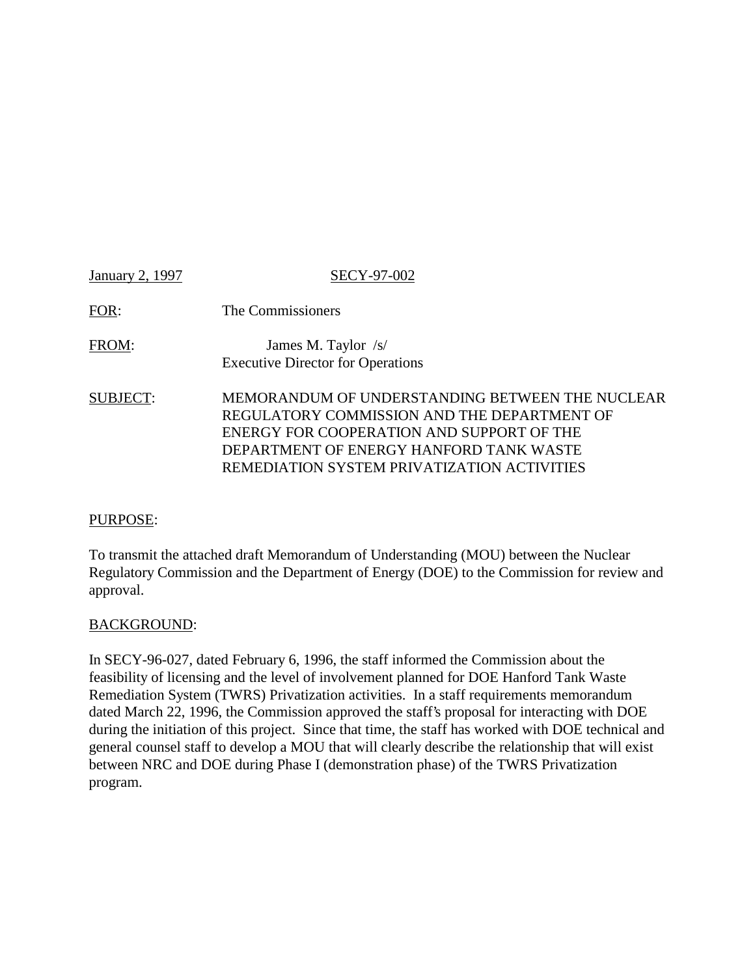| January 2, 1997 | <b>SECY-97-002</b>                                                                                                                                                                                                                    |
|-----------------|---------------------------------------------------------------------------------------------------------------------------------------------------------------------------------------------------------------------------------------|
| FOR:            | The Commissioners                                                                                                                                                                                                                     |
| FROM:           | James M. Taylor /s/<br><b>Executive Director for Operations</b>                                                                                                                                                                       |
| <b>SUBJECT:</b> | MEMORANDUM OF UNDERSTANDING BETWEEN THE NUCLEAR<br>REGULATORY COMMISSION AND THE DEPARTMENT OF<br>ENERGY FOR COOPERATION AND SUPPORT OF THE<br>DEPARTMENT OF ENERGY HANFORD TANK WASTE<br>REMEDIATION SYSTEM PRIVATIZATION ACTIVITIES |

#### PURPOSE:

To transmit the attached draft Memorandum of Understanding (MOU) between the Nuclear Regulatory Commission and the Department of Energy (DOE) to the Commission for review and approval.

#### BACKGROUND:

In SECY-96-027, dated February 6, 1996, the staff informed the Commission about the feasibility of licensing and the level of involvement planned for DOE Hanford Tank Waste Remediation System (TWRS) Privatization activities. In a staff requirements memorandum dated March 22, 1996, the Commission approved the staff's proposal for interacting with DOE during the initiation of this project. Since that time, the staff has worked with DOE technical and general counsel staff to develop a MOU that will clearly describe the relationship that will exist between NRC and DOE during Phase I (demonstration phase) of the TWRS Privatization program.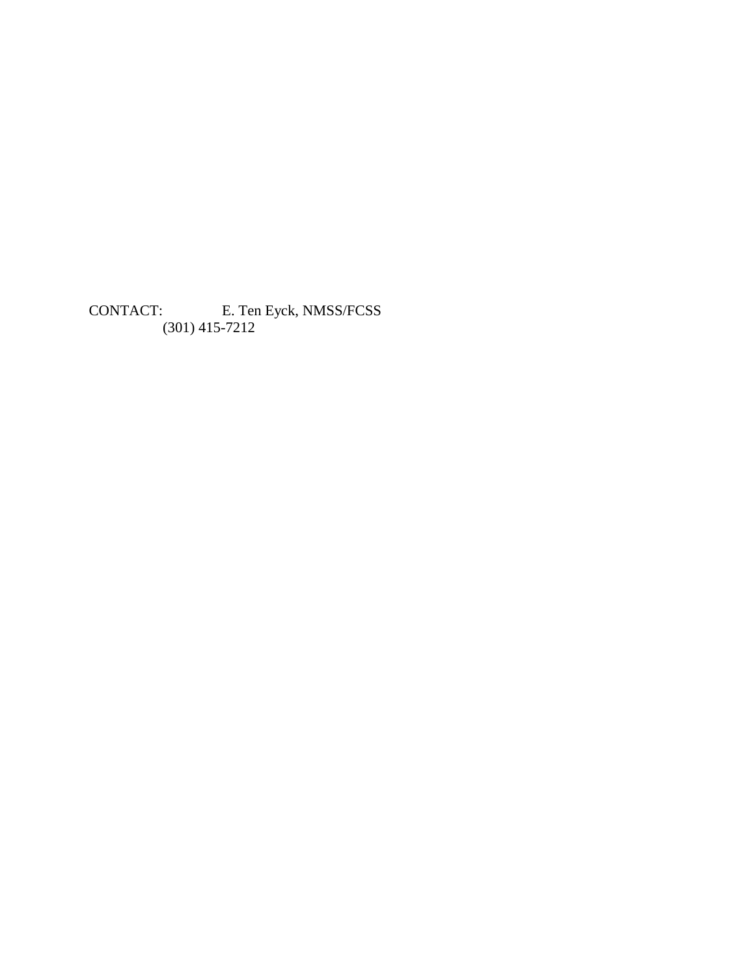CONTACT: E. Ten Eyck, NMSS/FCSS (301) 415-7212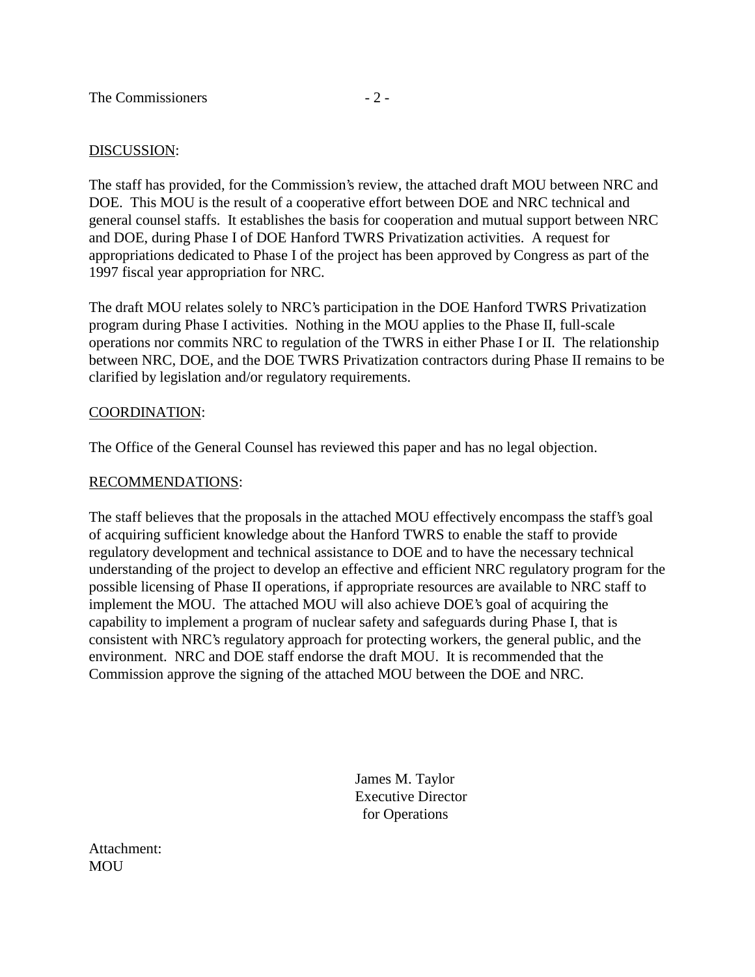#### DISCUSSION:

The staff has provided, for the Commission's review, the attached draft MOU between NRC and DOE. This MOU is the result of a cooperative effort between DOE and NRC technical and general counsel staffs. It establishes the basis for cooperation and mutual support between NRC and DOE, during Phase I of DOE Hanford TWRS Privatization activities. A request for appropriations dedicated to Phase I of the project has been approved by Congress as part of the 1997 fiscal year appropriation for NRC.

The draft MOU relates solely to NRC's participation in the DOE Hanford TWRS Privatization program during Phase I activities. Nothing in the MOU applies to the Phase II, full-scale operations nor commits NRC to regulation of the TWRS in either Phase I or II. The relationship between NRC, DOE, and the DOE TWRS Privatization contractors during Phase II remains to be clarified by legislation and/or regulatory requirements.

#### COORDINATION:

The Office of the General Counsel has reviewed this paper and has no legal objection.

#### RECOMMENDATIONS:

The staff believes that the proposals in the attached MOU effectively encompass the staff's goal of acquiring sufficient knowledge about the Hanford TWRS to enable the staff to provide regulatory development and technical assistance to DOE and to have the necessary technical understanding of the project to develop an effective and efficient NRC regulatory program for the possible licensing of Phase II operations, if appropriate resources are available to NRC staff to implement the MOU. The attached MOU will also achieve DOE's goal of acquiring the capability to implement a program of nuclear safety and safeguards during Phase I, that is consistent with NRC's regulatory approach for protecting workers, the general public, and the environment. NRC and DOE staff endorse the draft MOU. It is recommended that the Commission approve the signing of the attached MOU between the DOE and NRC.

> James M. Taylor Executive Director for Operations

Attachment: **MOU**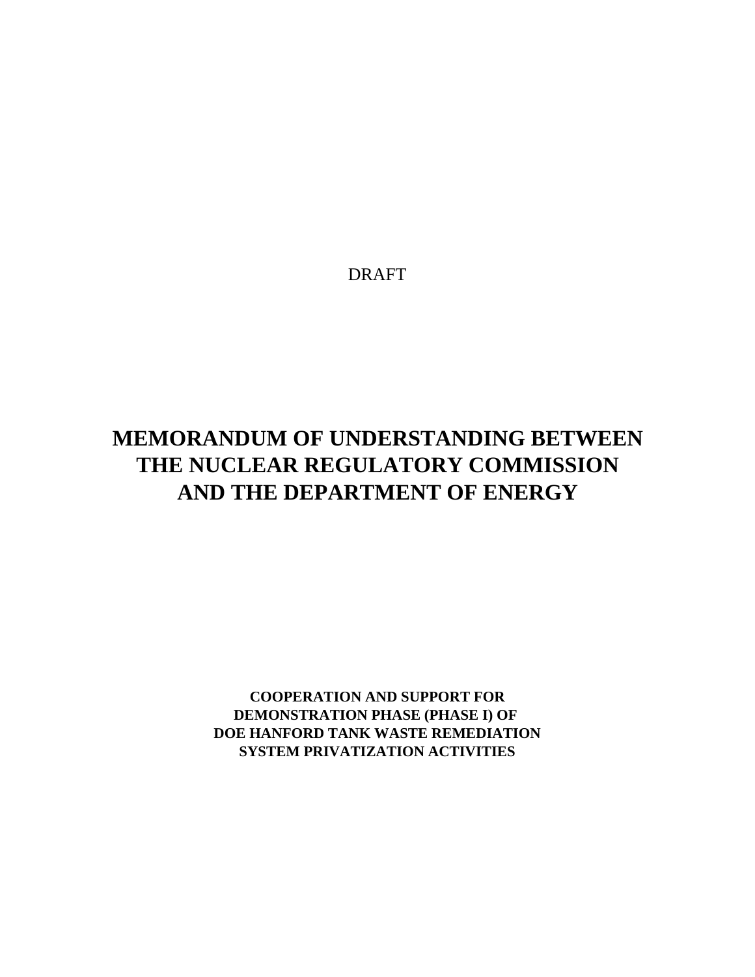DRAFT

# **MEMORANDUM OF UNDERSTANDING BETWEEN THE NUCLEAR REGULATORY COMMISSION AND THE DEPARTMENT OF ENERGY**

**COOPERATION AND SUPPORT FOR DEMONSTRATION PHASE (PHASE I) OF DOE HANFORD TANK WASTE REMEDIATION SYSTEM PRIVATIZATION ACTIVITIES**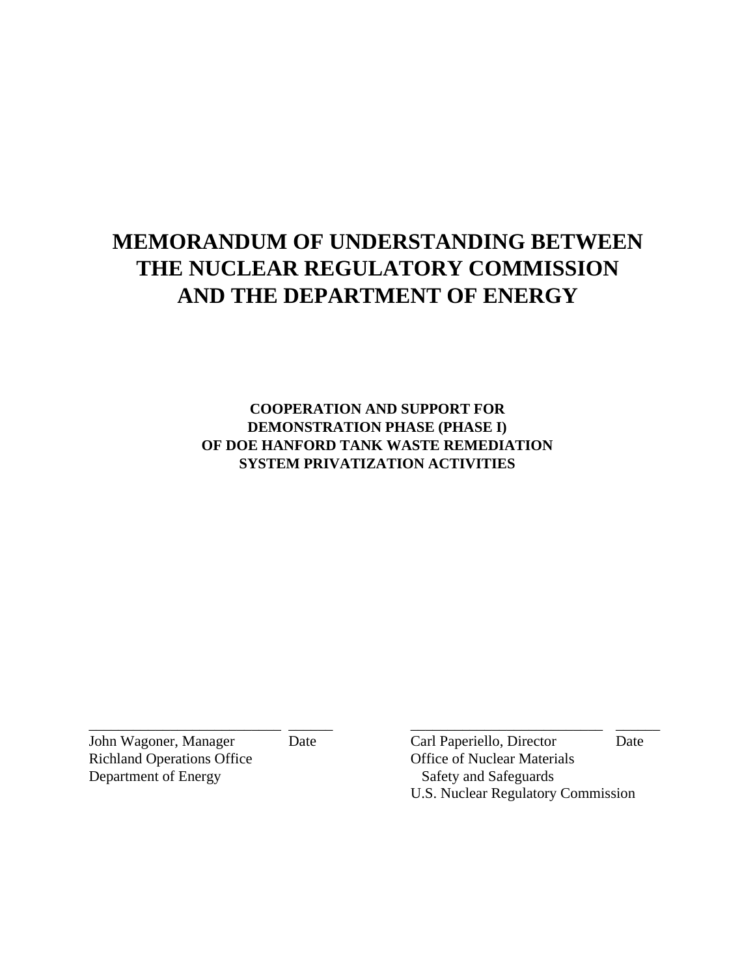# **MEMORANDUM OF UNDERSTANDING BETWEEN THE NUCLEAR REGULATORY COMMISSION AND THE DEPARTMENT OF ENERGY**

**COOPERATION AND SUPPORT FOR DEMONSTRATION PHASE (PHASE I) OF DOE HANFORD TANK WASTE REMEDIATION SYSTEM PRIVATIZATION ACTIVITIES**

\_\_\_\_\_\_\_\_\_\_\_\_\_\_\_\_\_\_\_\_\_\_\_\_\_\_ \_\_\_\_\_\_ \_\_\_\_\_\_\_\_\_\_\_\_\_\_\_\_\_\_\_\_\_\_\_\_\_\_ \_\_\_\_\_\_

Richland Operations Office **Office** Office of Nuclear Materials Department of Energy Safety and Safeguards

John Wagoner, Manager Date Carl Paperiello, Director Date U.S. Nuclear Regulatory Commission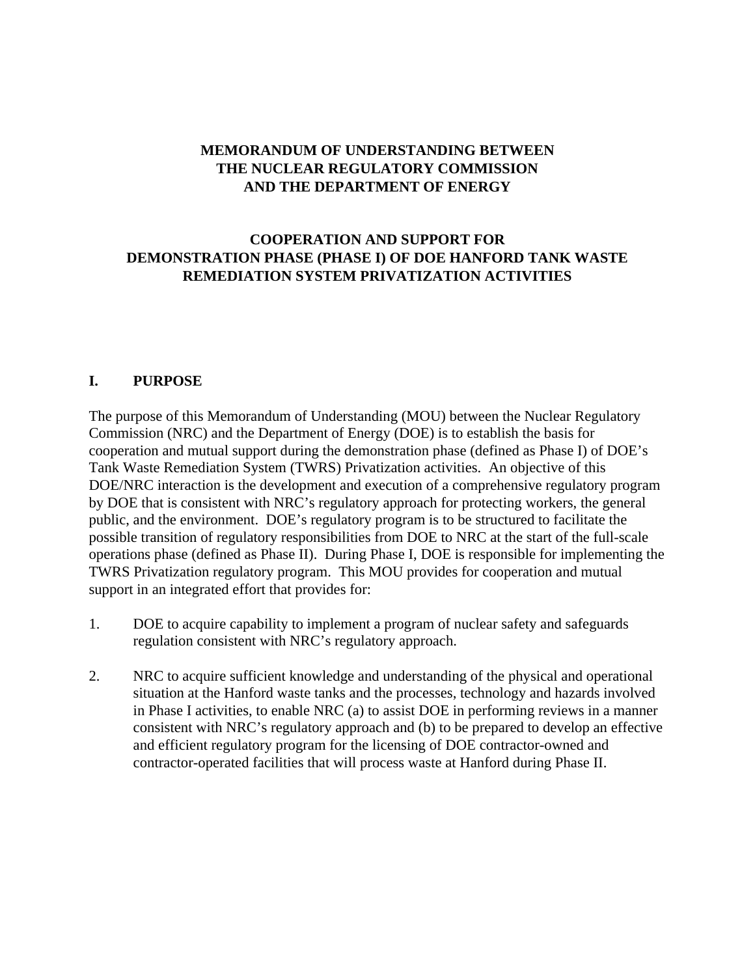## **MEMORANDUM OF UNDERSTANDING BETWEEN THE NUCLEAR REGULATORY COMMISSION AND THE DEPARTMENT OF ENERGY**

## **COOPERATION AND SUPPORT FOR DEMONSTRATION PHASE (PHASE I) OF DOE HANFORD TANK WASTE REMEDIATION SYSTEM PRIVATIZATION ACTIVITIES**

#### **I. PURPOSE**

The purpose of this Memorandum of Understanding (MOU) between the Nuclear Regulatory Commission (NRC) and the Department of Energy (DOE) is to establish the basis for cooperation and mutual support during the demonstration phase (defined as Phase I) of DOE's Tank Waste Remediation System (TWRS) Privatization activities. An objective of this DOE/NRC interaction is the development and execution of a comprehensive regulatory program by DOE that is consistent with NRC's regulatory approach for protecting workers, the general public, and the environment. DOE's regulatory program is to be structured to facilitate the possible transition of regulatory responsibilities from DOE to NRC at the start of the full-scale operations phase (defined as Phase II). During Phase I, DOE is responsible for implementing the TWRS Privatization regulatory program. This MOU provides for cooperation and mutual support in an integrated effort that provides for:

- 1. DOE to acquire capability to implement a program of nuclear safety and safeguards regulation consistent with NRC's regulatory approach.
- 2. NRC to acquire sufficient knowledge and understanding of the physical and operational situation at the Hanford waste tanks and the processes, technology and hazards involved in Phase I activities, to enable NRC (a) to assist DOE in performing reviews in a manner consistent with NRC's regulatory approach and (b) to be prepared to develop an effective and efficient regulatory program for the licensing of DOE contractor-owned and contractor-operated facilities that will process waste at Hanford during Phase II.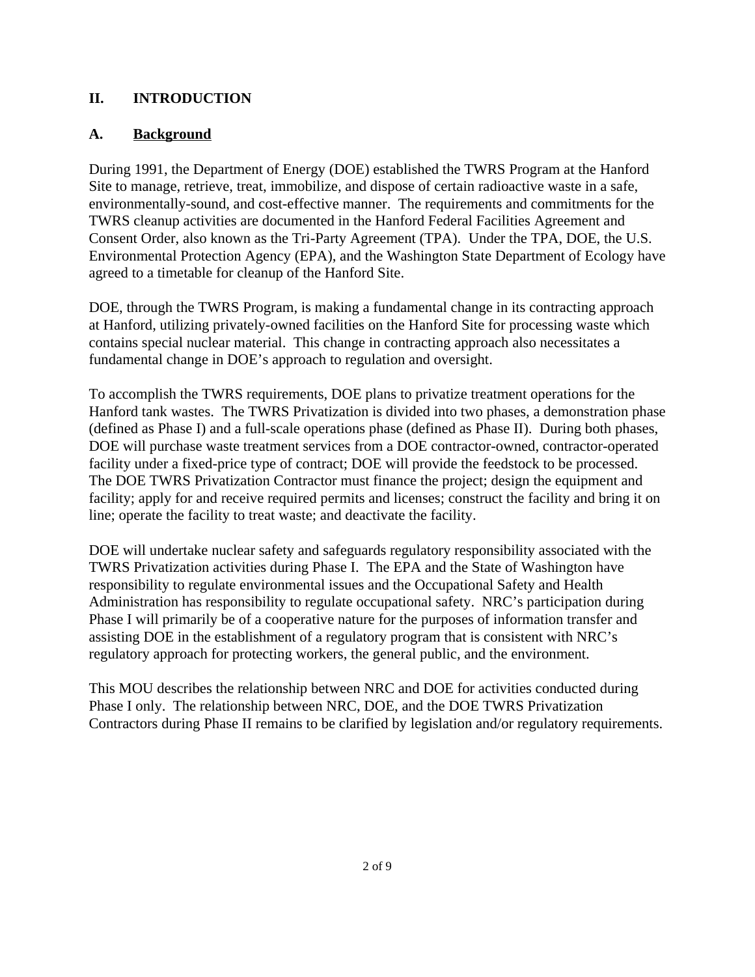### **II. INTRODUCTION**

#### **A. Background**

During 1991, the Department of Energy (DOE) established the TWRS Program at the Hanford Site to manage, retrieve, treat, immobilize, and dispose of certain radioactive waste in a safe, environmentally-sound, and cost-effective manner. The requirements and commitments for the TWRS cleanup activities are documented in the Hanford Federal Facilities Agreement and Consent Order, also known as the Tri-Party Agreement (TPA). Under the TPA, DOE, the U.S. Environmental Protection Agency (EPA), and the Washington State Department of Ecology have agreed to a timetable for cleanup of the Hanford Site.

DOE, through the TWRS Program, is making a fundamental change in its contracting approach at Hanford, utilizing privately-owned facilities on the Hanford Site for processing waste which contains special nuclear material. This change in contracting approach also necessitates a fundamental change in DOE's approach to regulation and oversight.

To accomplish the TWRS requirements, DOE plans to privatize treatment operations for the Hanford tank wastes. The TWRS Privatization is divided into two phases, a demonstration phase (defined as Phase I) and a full-scale operations phase (defined as Phase II). During both phases, DOE will purchase waste treatment services from a DOE contractor-owned, contractor-operated facility under a fixed-price type of contract; DOE will provide the feedstock to be processed. The DOE TWRS Privatization Contractor must finance the project; design the equipment and facility; apply for and receive required permits and licenses; construct the facility and bring it on line; operate the facility to treat waste; and deactivate the facility.

DOE will undertake nuclear safety and safeguards regulatory responsibility associated with the TWRS Privatization activities during Phase I. The EPA and the State of Washington have responsibility to regulate environmental issues and the Occupational Safety and Health Administration has responsibility to regulate occupational safety. NRC's participation during Phase I will primarily be of a cooperative nature for the purposes of information transfer and assisting DOE in the establishment of a regulatory program that is consistent with NRC's regulatory approach for protecting workers, the general public, and the environment.

This MOU describes the relationship between NRC and DOE for activities conducted during Phase I only. The relationship between NRC, DOE, and the DOE TWRS Privatization Contractors during Phase II remains to be clarified by legislation and/or regulatory requirements.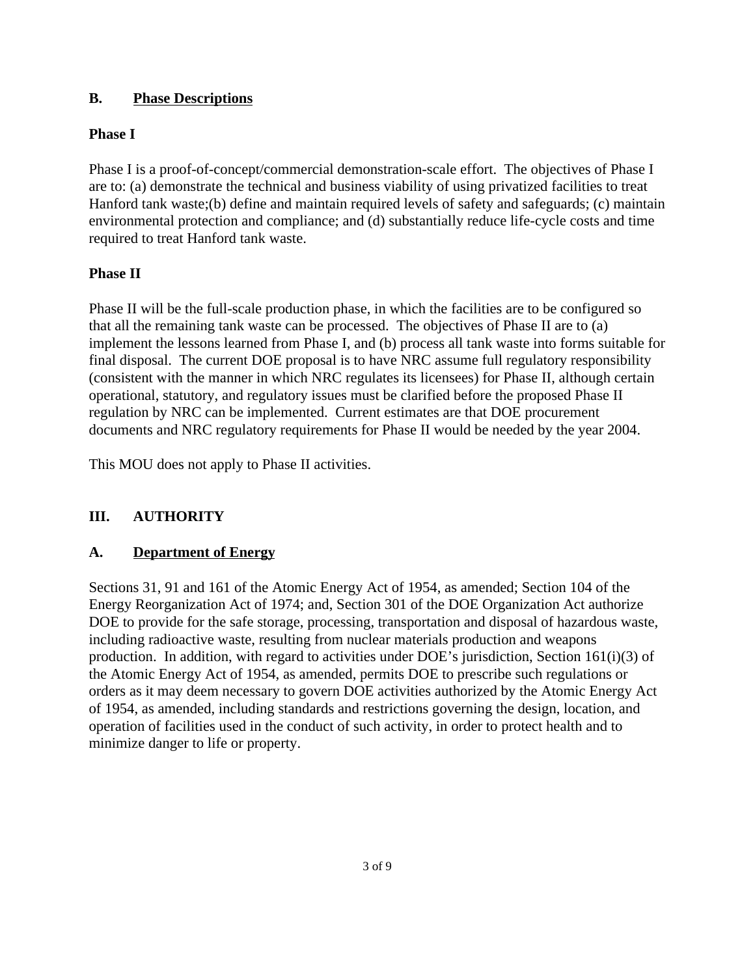#### **B. Phase Descriptions**

#### **Phase I**

Phase I is a proof-of-concept/commercial demonstration-scale effort. The objectives of Phase I are to: (a) demonstrate the technical and business viability of using privatized facilities to treat Hanford tank waste;(b) define and maintain required levels of safety and safeguards; (c) maintain environmental protection and compliance; and (d) substantially reduce life-cycle costs and time required to treat Hanford tank waste.

#### **Phase II**

Phase II will be the full-scale production phase, in which the facilities are to be configured so that all the remaining tank waste can be processed. The objectives of Phase II are to (a) implement the lessons learned from Phase I, and (b) process all tank waste into forms suitable for final disposal. The current DOE proposal is to have NRC assume full regulatory responsibility (consistent with the manner in which NRC regulates its licensees) for Phase II, although certain operational, statutory, and regulatory issues must be clarified before the proposed Phase II regulation by NRC can be implemented. Current estimates are that DOE procurement documents and NRC regulatory requirements for Phase II would be needed by the year 2004.

This MOU does not apply to Phase II activities.

#### **III. AUTHORITY**

#### **A. Department of Energy**

Sections 31, 91 and 161 of the Atomic Energy Act of 1954, as amended; Section 104 of the Energy Reorganization Act of 1974; and, Section 301 of the DOE Organization Act authorize DOE to provide for the safe storage, processing, transportation and disposal of hazardous waste, including radioactive waste, resulting from nuclear materials production and weapons production. In addition, with regard to activities under DOE's jurisdiction, Section 161(i)(3) of the Atomic Energy Act of 1954, as amended, permits DOE to prescribe such regulations or orders as it may deem necessary to govern DOE activities authorized by the Atomic Energy Act of 1954, as amended, including standards and restrictions governing the design, location, and operation of facilities used in the conduct of such activity, in order to protect health and to minimize danger to life or property.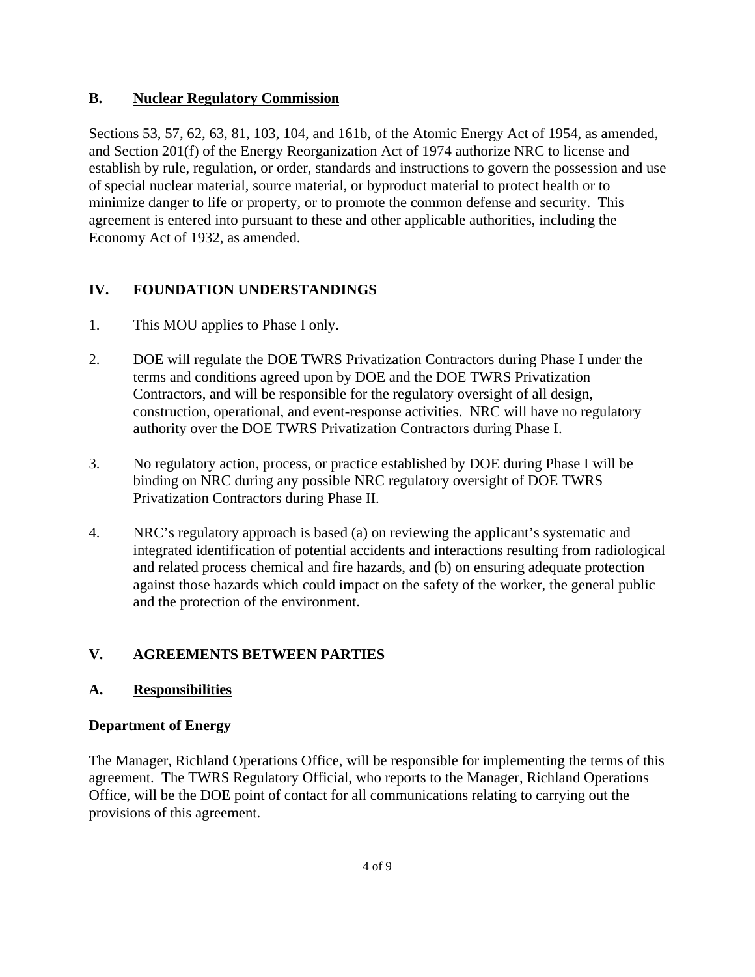#### **B. Nuclear Regulatory Commission**

Sections 53, 57, 62, 63, 81, 103, 104, and 161b, of the Atomic Energy Act of 1954, as amended, and Section 201(f) of the Energy Reorganization Act of 1974 authorize NRC to license and establish by rule, regulation, or order, standards and instructions to govern the possession and use of special nuclear material, source material, or byproduct material to protect health or to minimize danger to life or property, or to promote the common defense and security. This agreement is entered into pursuant to these and other applicable authorities, including the Economy Act of 1932, as amended.

## **IV. FOUNDATION UNDERSTANDINGS**

- 1. This MOU applies to Phase I only.
- 2. DOE will regulate the DOE TWRS Privatization Contractors during Phase I under the terms and conditions agreed upon by DOE and the DOE TWRS Privatization Contractors, and will be responsible for the regulatory oversight of all design, construction, operational, and event-response activities. NRC will have no regulatory authority over the DOE TWRS Privatization Contractors during Phase I.
- 3. No regulatory action, process, or practice established by DOE during Phase I will be binding on NRC during any possible NRC regulatory oversight of DOE TWRS Privatization Contractors during Phase II.
- 4. NRC's regulatory approach is based (a) on reviewing the applicant's systematic and integrated identification of potential accidents and interactions resulting from radiological and related process chemical and fire hazards, and (b) on ensuring adequate protection against those hazards which could impact on the safety of the worker, the general public and the protection of the environment.

# **V. AGREEMENTS BETWEEN PARTIES**

## **A. Responsibilities**

#### **Department of Energy**

The Manager, Richland Operations Office, will be responsible for implementing the terms of this agreement. The TWRS Regulatory Official, who reports to the Manager, Richland Operations Office, will be the DOE point of contact for all communications relating to carrying out the provisions of this agreement.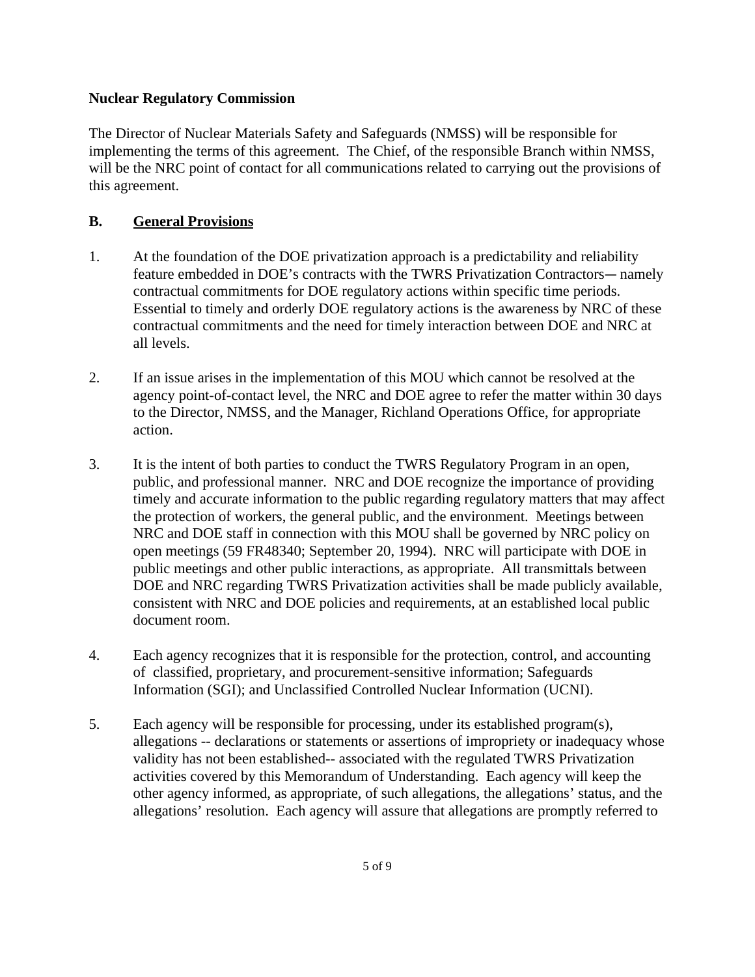#### **Nuclear Regulatory Commission**

The Director of Nuclear Materials Safety and Safeguards (NMSS) will be responsible for implementing the terms of this agreement. The Chief, of the responsible Branch within NMSS, will be the NRC point of contact for all communications related to carrying out the provisions of this agreement.

#### **B. General Provisions**

- 1. At the foundation of the DOE privatization approach is a predictability and reliability feature embedded in DOE's contracts with the TWRS Privatization Contractors—namely contractual commitments for DOE regulatory actions within specific time periods. Essential to timely and orderly DOE regulatory actions is the awareness by NRC of these contractual commitments and the need for timely interaction between DOE and NRC at all levels.
- 2. If an issue arises in the implementation of this MOU which cannot be resolved at the agency point-of-contact level, the NRC and DOE agree to refer the matter within 30 days to the Director, NMSS, and the Manager, Richland Operations Office, for appropriate action.
- 3. It is the intent of both parties to conduct the TWRS Regulatory Program in an open, public, and professional manner. NRC and DOE recognize the importance of providing timely and accurate information to the public regarding regulatory matters that may affect the protection of workers, the general public, and the environment. Meetings between NRC and DOE staff in connection with this MOU shall be governed by NRC policy on open meetings (59 FR48340; September 20, 1994). NRC will participate with DOE in public meetings and other public interactions, as appropriate. All transmittals between DOE and NRC regarding TWRS Privatization activities shall be made publicly available, consistent with NRC and DOE policies and requirements, at an established local public document room.
- 4. Each agency recognizes that it is responsible for the protection, control, and accounting of classified, proprietary, and procurement-sensitive information; Safeguards Information (SGI); and Unclassified Controlled Nuclear Information (UCNI).
- 5. Each agency will be responsible for processing, under its established program(s), allegations -- declarations or statements or assertions of impropriety or inadequacy whose validity has not been established-- associated with the regulated TWRS Privatization activities covered by this Memorandum of Understanding. Each agency will keep the other agency informed, as appropriate, of such allegations, the allegations' status, and the allegations' resolution. Each agency will assure that allegations are promptly referred to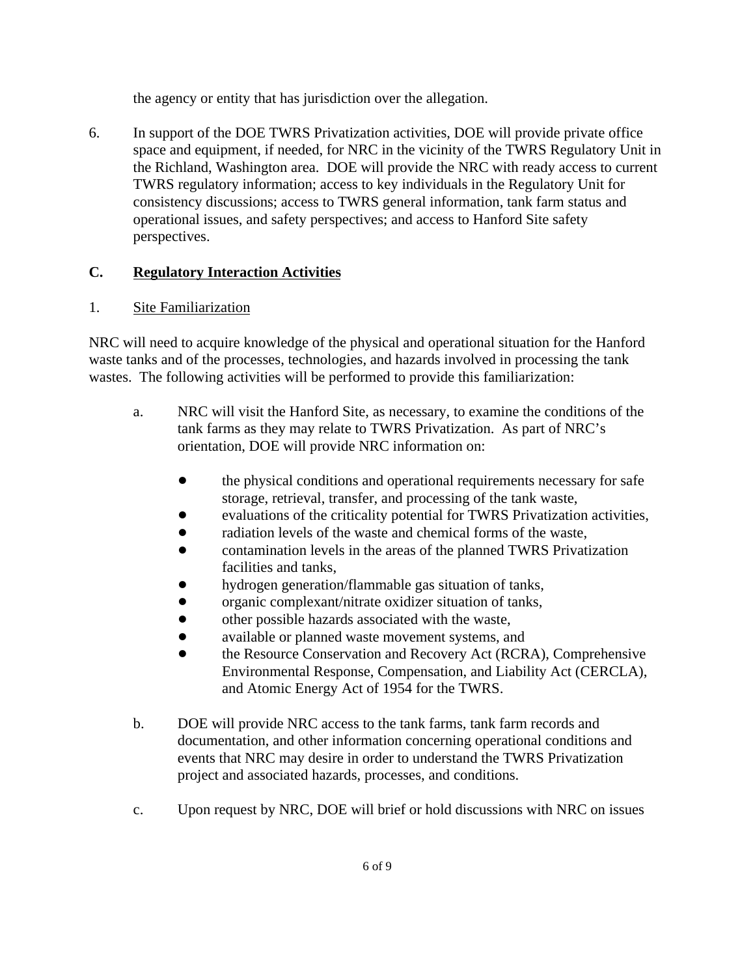the agency or entity that has jurisdiction over the allegation.

6. In support of the DOE TWRS Privatization activities, DOE will provide private office space and equipment, if needed, for NRC in the vicinity of the TWRS Regulatory Unit in the Richland, Washington area. DOE will provide the NRC with ready access to current TWRS regulatory information; access to key individuals in the Regulatory Unit for consistency discussions; access to TWRS general information, tank farm status and operational issues, and safety perspectives; and access to Hanford Site safety perspectives.

#### **C. Regulatory Interaction Activities**

#### 1. Site Familiarization

NRC will need to acquire knowledge of the physical and operational situation for the Hanford waste tanks and of the processes, technologies, and hazards involved in processing the tank wastes. The following activities will be performed to provide this familiarization:

- a. NRC will visit the Hanford Site, as necessary, to examine the conditions of the tank farms as they may relate to TWRS Privatization. As part of NRC's orientation, DOE will provide NRC information on:
	- the physical conditions and operational requirements necessary for safe storage, retrieval, transfer, and processing of the tank waste,
	- evaluations of the criticality potential for TWRS Privatization activities,
	- radiation levels of the waste and chemical forms of the waste,
	- ! contamination levels in the areas of the planned TWRS Privatization facilities and tanks,
	- hydrogen generation/flammable gas situation of tanks,
	- ! organic complexant/nitrate oxidizer situation of tanks,
	- other possible hazards associated with the waste,
	- available or planned waste movement systems, and
	- the Resource Conservation and Recovery Act (RCRA), Comprehensive Environmental Response, Compensation, and Liability Act (CERCLA), and Atomic Energy Act of 1954 for the TWRS.
- b. DOE will provide NRC access to the tank farms, tank farm records and documentation, and other information concerning operational conditions and events that NRC may desire in order to understand the TWRS Privatization project and associated hazards, processes, and conditions.
- c. Upon request by NRC, DOE will brief or hold discussions with NRC on issues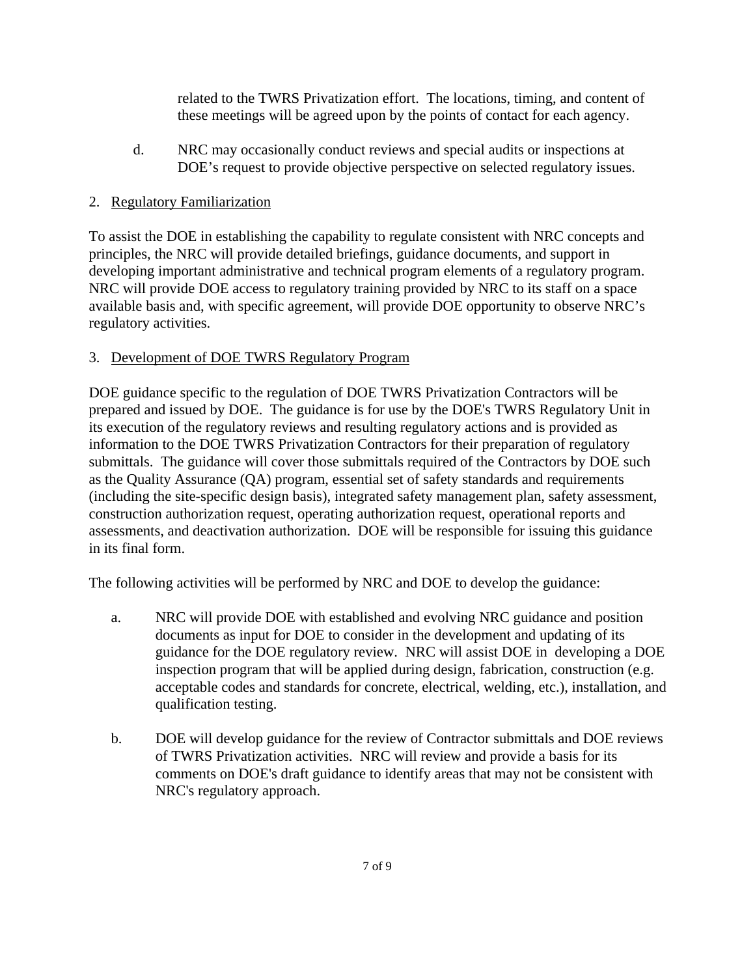related to the TWRS Privatization effort. The locations, timing, and content of these meetings will be agreed upon by the points of contact for each agency.

d. NRC may occasionally conduct reviews and special audits or inspections at DOE's request to provide objective perspective on selected regulatory issues.

## 2. Regulatory Familiarization

To assist the DOE in establishing the capability to regulate consistent with NRC concepts and principles, the NRC will provide detailed briefings, guidance documents, and support in developing important administrative and technical program elements of a regulatory program. NRC will provide DOE access to regulatory training provided by NRC to its staff on a space available basis and, with specific agreement, will provide DOE opportunity to observe NRC's regulatory activities.

## 3. Development of DOE TWRS Regulatory Program

DOE guidance specific to the regulation of DOE TWRS Privatization Contractors will be prepared and issued by DOE. The guidance is for use by the DOE's TWRS Regulatory Unit in its execution of the regulatory reviews and resulting regulatory actions and is provided as information to the DOE TWRS Privatization Contractors for their preparation of regulatory submittals. The guidance will cover those submittals required of the Contractors by DOE such as the Quality Assurance (QA) program, essential set of safety standards and requirements (including the site-specific design basis), integrated safety management plan, safety assessment, construction authorization request, operating authorization request, operational reports and assessments, and deactivation authorization. DOE will be responsible for issuing this guidance in its final form.

The following activities will be performed by NRC and DOE to develop the guidance:

- a. NRC will provide DOE with established and evolving NRC guidance and position documents as input for DOE to consider in the development and updating of its guidance for the DOE regulatory review. NRC will assist DOE in developing a DOE inspection program that will be applied during design, fabrication, construction (e.g. acceptable codes and standards for concrete, electrical, welding, etc.), installation, and qualification testing.
- b. DOE will develop guidance for the review of Contractor submittals and DOE reviews of TWRS Privatization activities. NRC will review and provide a basis for its comments on DOE's draft guidance to identify areas that may not be consistent with NRC's regulatory approach.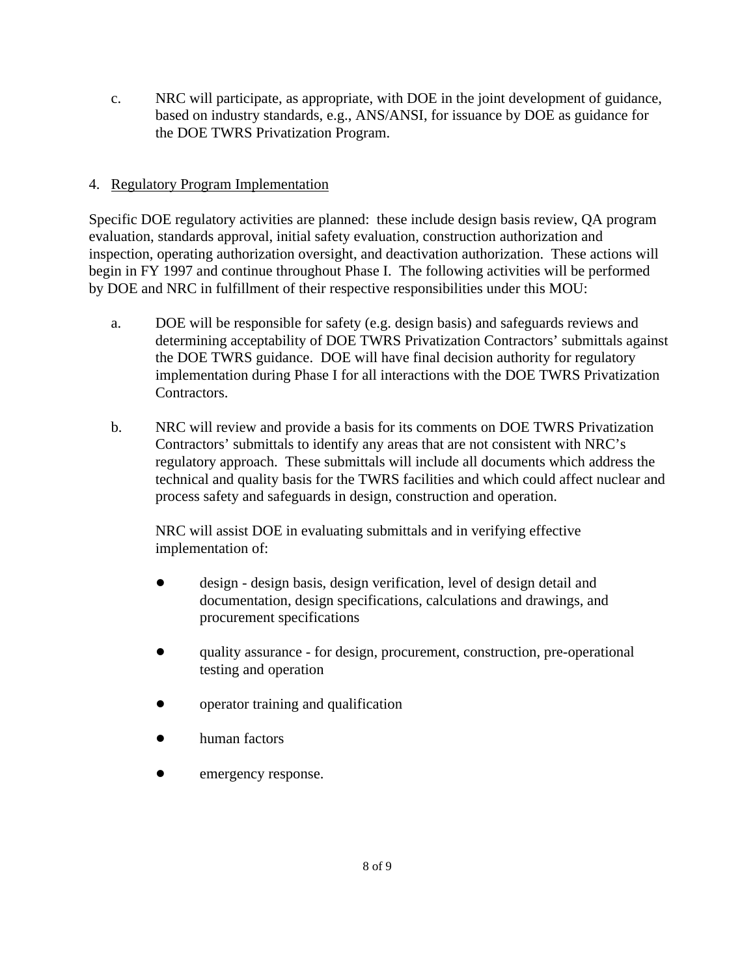c. NRC will participate, as appropriate, with DOE in the joint development of guidance, based on industry standards, e.g., ANS/ANSI, for issuance by DOE as guidance for the DOE TWRS Privatization Program.

#### 4. Regulatory Program Implementation

Specific DOE regulatory activities are planned: these include design basis review, QA program evaluation, standards approval, initial safety evaluation, construction authorization and inspection, operating authorization oversight, and deactivation authorization. These actions will begin in FY 1997 and continue throughout Phase I. The following activities will be performed by DOE and NRC in fulfillment of their respective responsibilities under this MOU:

- a. DOE will be responsible for safety (e.g. design basis) and safeguards reviews and determining acceptability of DOE TWRS Privatization Contractors' submittals against the DOE TWRS guidance. DOE will have final decision authority for regulatory implementation during Phase I for all interactions with the DOE TWRS Privatization Contractors.
- b. NRC will review and provide a basis for its comments on DOE TWRS Privatization Contractors' submittals to identify any areas that are not consistent with NRC's regulatory approach. These submittals will include all documents which address the technical and quality basis for the TWRS facilities and which could affect nuclear and process safety and safeguards in design, construction and operation.

NRC will assist DOE in evaluating submittals and in verifying effective implementation of:

- ! design design basis, design verification, level of design detail and documentation, design specifications, calculations and drawings, and procurement specifications
- ! quality assurance for design, procurement, construction, pre-operational testing and operation
- operator training and qualification
- human factors
- emergency response.